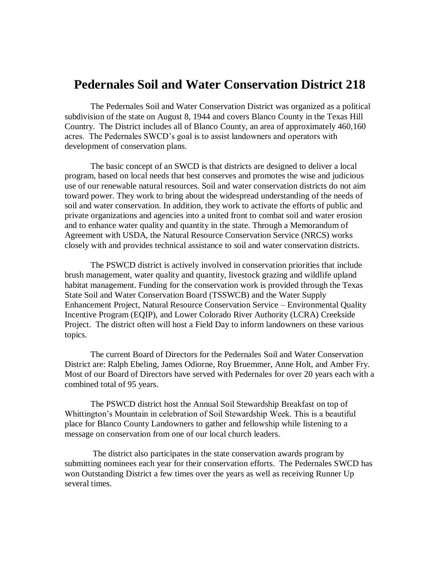## **Pedernales Soil and Water Conservation District 218**

The Pedernales Soil and Water Conservation District was organized as a political subdivision of the state on August 8, 1944 and covers Blanco County in the Texas Hill Country. The District includes all of Blanco County, an area of approximately 460,160 acres. The Pedernales SWCD's goal is to assist landowners and operators with development of conservation plans.

The basic concept of an SWCD is that districts are designed to deliver a local program, based on local needs that best conserves and promotes the wise and judicious use of our renewable natural resources. Soil and water conservation districts do not aim toward power. They work to bring about the widespread understanding of the needs of soil and water conservation. In addition, they work to activate the efforts of public and private organizations and agencies into a united front to combat soil and water erosion and to enhance water quality and quantity in the state. Through a Memorandum of Agreement with USDA, the Natural Resource Conservation Service (NRCS) works closely with and provides technical assistance to soil and water conservation districts.

The PSWCD district is actively involved in conservation priorities that include brush management, water quality and quantity, livestock grazing and wildlife upland habitat management. Funding for the conservation work is provided through the Texas State Soil and Water Conservation Board (TSSWCB) and the Water Supply Enhancement Project, Natural Resource Conservation Service – Environmental Quality Incentive Program (EQIP), and Lower Colorado River Authority (LCRA) Creekside Project. The district often will host a Field Day to inform landowners on these various topics.

The current Board of Directors for the Pedernales Soil and Water Conservation District are: Ralph Ebeling, James Odiorne, Roy Bruemmer, Anne Holt, and Amber Fry. Most of our Board of Directors have served with Pedernales for over 20 years each with a combined total of 95 years.

The PSWCD district host the Annual Soil Stewardship Breakfast on top of Whittington's Mountain in celebration of Soil Stewardship Week. This is a beautiful place for Blanco County Landowners to gather and fellowship while listening to a message on conservation from one of our local church leaders.

The district also participates in the state conservation awards program by submitting nominees each year for their conservation efforts. The Pedernales SWCD has won Outstanding District a few times over the years as well as receiving Runner Up several times.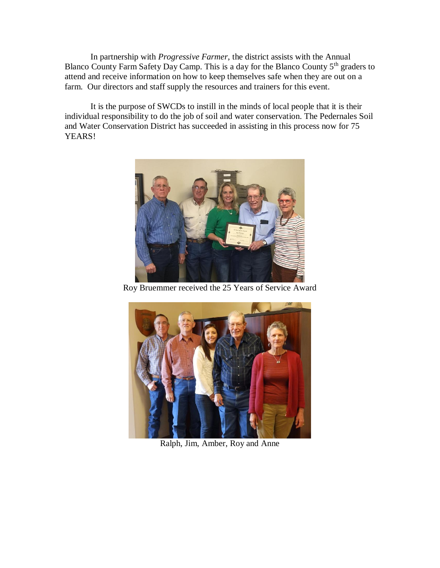In partnership with *Progressive Farmer*, the district assists with the Annual Blanco County Farm Safety Day Camp. This is a day for the Blanco County 5<sup>th</sup> graders to attend and receive information on how to keep themselves safe when they are out on a farm. Our directors and staff supply the resources and trainers for this event.

It is the purpose of SWCDs to instill in the minds of local people that it is their individual responsibility to do the job of soil and water conservation. The Pedernales Soil and Water Conservation District has succeeded in assisting in this process now for 75 YEARS!



Roy Bruemmer received the 25 Years of Service Award



Ralph, Jim, Amber, Roy and Anne